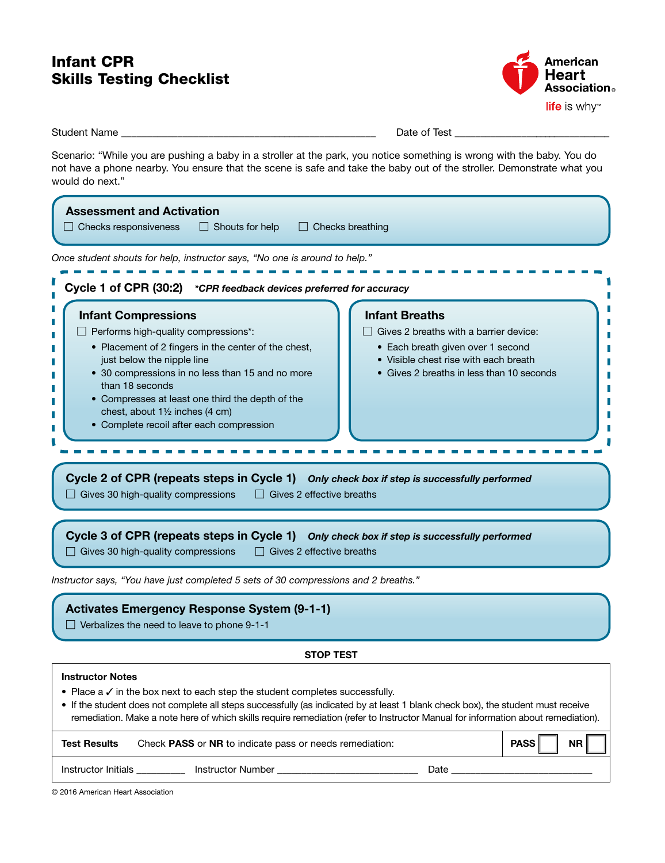## Infant CPR Skills Testing Checklist



Student Name \_\_\_\_\_\_\_\_\_\_\_\_\_\_\_\_\_\_\_\_\_\_\_\_\_\_\_\_\_\_\_\_\_\_\_\_\_\_\_\_\_\_\_\_\_\_\_\_\_\_ Date of Test \_\_\_\_\_\_\_\_\_\_\_\_\_\_\_\_\_\_\_\_\_\_\_\_\_\_\_\_\_\_\_

Scenario: "While you are pushing a baby in a stroller at the park, you notice something is wrong with the baby. You do not have a phone nearby. You ensure that the scene is safe and take the baby out of the stroller. Demonstrate what you would do next."

| Once student shouts for help, instructor says, "No one is around to help."<br>Cycle 1 of CPR (30:2) *CPR feedback devices preferred for accuracy<br><b>Infant Breaths</b><br><b>Infant Compressions</b><br>Performs high-quality compressions*:<br>Gives 2 breaths with a barrier device:<br>• Placement of 2 fingers in the center of the chest,<br>• Each breath given over 1 second<br>• Visible chest rise with each breath<br>just below the nipple line<br>• 30 compressions in no less than 15 and no more<br>• Gives 2 breaths in less than 10 seconds<br>than 18 seconds<br>• Compresses at least one third the depth of the<br>chest, about 11/2 inches (4 cm)<br>• Complete recoil after each compression<br>Cycle 2 of CPR (repeats steps in Cycle 1) Only check box if step is successfully performed<br>Gives 30 high-quality compressions<br>$\Box$ Gives 2 effective breaths<br>Cycle 3 of CPR (repeats steps in Cycle 1) Only check box if step is successfully performed<br>Gives 30 high-quality compressions<br>Gives 2 effective breaths<br>Instructor says, "You have just completed 5 sets of 30 compressions and 2 breaths."<br><b>Activates Emergency Response System (9-1-1)</b><br>$\Box$ Verbalizes the need to leave to phone 9-1-1<br><b>STOP TEST</b><br><b>Instructor Notes</b><br>Place $a \vee$ in the box next to each step the student completes successfully.<br>• If the student does not complete all steps successfully (as indicated by at least 1 blank check box), the student must receive<br>remediation. Make a note here of which skills require remediation (refer to Instructor Manual for information about remediation).<br><b>PASS</b><br><b>NR</b><br><b>Test Results</b><br>Check PASS or NR to indicate pass or needs remediation: | <b>Assessment and Activation</b><br>$\Box$ Checks responsiveness<br>$\Box$ Shouts for help<br>$\Box$ Checks breathing |  |  |  |
|-------------------------------------------------------------------------------------------------------------------------------------------------------------------------------------------------------------------------------------------------------------------------------------------------------------------------------------------------------------------------------------------------------------------------------------------------------------------------------------------------------------------------------------------------------------------------------------------------------------------------------------------------------------------------------------------------------------------------------------------------------------------------------------------------------------------------------------------------------------------------------------------------------------------------------------------------------------------------------------------------------------------------------------------------------------------------------------------------------------------------------------------------------------------------------------------------------------------------------------------------------------------------------------------------------------------------------------------------------------------------------------------------------------------------------------------------------------------------------------------------------------------------------------------------------------------------------------------------------------------------------------------------------------------------------------------------------------------------------------------------------------------------------------------|-----------------------------------------------------------------------------------------------------------------------|--|--|--|
|                                                                                                                                                                                                                                                                                                                                                                                                                                                                                                                                                                                                                                                                                                                                                                                                                                                                                                                                                                                                                                                                                                                                                                                                                                                                                                                                                                                                                                                                                                                                                                                                                                                                                                                                                                                           |                                                                                                                       |  |  |  |
|                                                                                                                                                                                                                                                                                                                                                                                                                                                                                                                                                                                                                                                                                                                                                                                                                                                                                                                                                                                                                                                                                                                                                                                                                                                                                                                                                                                                                                                                                                                                                                                                                                                                                                                                                                                           |                                                                                                                       |  |  |  |
|                                                                                                                                                                                                                                                                                                                                                                                                                                                                                                                                                                                                                                                                                                                                                                                                                                                                                                                                                                                                                                                                                                                                                                                                                                                                                                                                                                                                                                                                                                                                                                                                                                                                                                                                                                                           |                                                                                                                       |  |  |  |
|                                                                                                                                                                                                                                                                                                                                                                                                                                                                                                                                                                                                                                                                                                                                                                                                                                                                                                                                                                                                                                                                                                                                                                                                                                                                                                                                                                                                                                                                                                                                                                                                                                                                                                                                                                                           |                                                                                                                       |  |  |  |
|                                                                                                                                                                                                                                                                                                                                                                                                                                                                                                                                                                                                                                                                                                                                                                                                                                                                                                                                                                                                                                                                                                                                                                                                                                                                                                                                                                                                                                                                                                                                                                                                                                                                                                                                                                                           |                                                                                                                       |  |  |  |
|                                                                                                                                                                                                                                                                                                                                                                                                                                                                                                                                                                                                                                                                                                                                                                                                                                                                                                                                                                                                                                                                                                                                                                                                                                                                                                                                                                                                                                                                                                                                                                                                                                                                                                                                                                                           |                                                                                                                       |  |  |  |
|                                                                                                                                                                                                                                                                                                                                                                                                                                                                                                                                                                                                                                                                                                                                                                                                                                                                                                                                                                                                                                                                                                                                                                                                                                                                                                                                                                                                                                                                                                                                                                                                                                                                                                                                                                                           |                                                                                                                       |  |  |  |
|                                                                                                                                                                                                                                                                                                                                                                                                                                                                                                                                                                                                                                                                                                                                                                                                                                                                                                                                                                                                                                                                                                                                                                                                                                                                                                                                                                                                                                                                                                                                                                                                                                                                                                                                                                                           |                                                                                                                       |  |  |  |
|                                                                                                                                                                                                                                                                                                                                                                                                                                                                                                                                                                                                                                                                                                                                                                                                                                                                                                                                                                                                                                                                                                                                                                                                                                                                                                                                                                                                                                                                                                                                                                                                                                                                                                                                                                                           |                                                                                                                       |  |  |  |
| Instructor Initials ____________ Instructor Number _____________________________<br>Date _                                                                                                                                                                                                                                                                                                                                                                                                                                                                                                                                                                                                                                                                                                                                                                                                                                                                                                                                                                                                                                                                                                                                                                                                                                                                                                                                                                                                                                                                                                                                                                                                                                                                                                |                                                                                                                       |  |  |  |

© 2016 American Heart Association